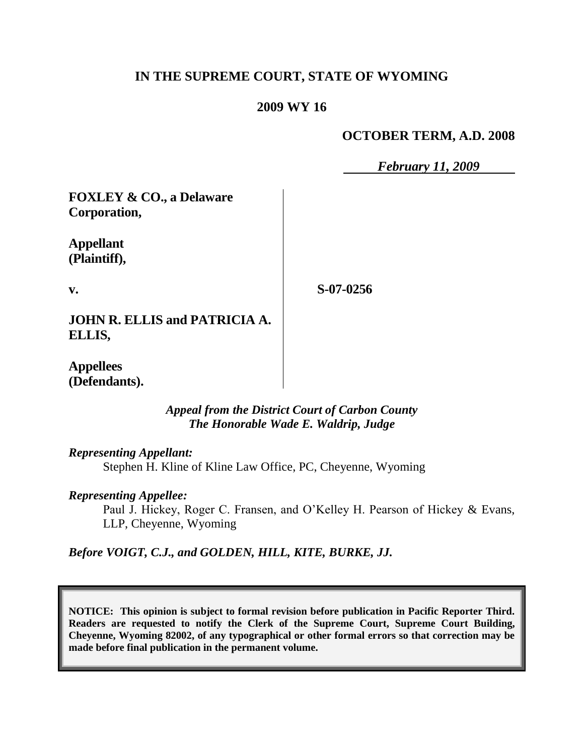# **IN THE SUPREME COURT, STATE OF WYOMING**

## **2009 WY 16**

### **OCTOBER TERM, A.D. 2008**

*February 11, 2009*

**FOXLEY & CO., a Delaware Corporation,**

**Appellant (Plaintiff),**

**v.**

**S-07-0256**

**JOHN R. ELLIS and PATRICIA A. ELLIS,**

**Appellees (Defendants).**

> *Appeal from the District Court of Carbon County The Honorable Wade E. Waldrip, Judge*

*Representing Appellant:*

Stephen H. Kline of Kline Law Office, PC, Cheyenne, Wyoming

*Representing Appellee:*

Paul J. Hickey, Roger C. Fransen, and O"Kelley H. Pearson of Hickey & Evans, LLP, Cheyenne, Wyoming

*Before VOIGT, C.J., and GOLDEN, HILL, KITE, BURKE, JJ.*

**NOTICE: This opinion is subject to formal revision before publication in Pacific Reporter Third. Readers are requested to notify the Clerk of the Supreme Court, Supreme Court Building, Cheyenne, Wyoming 82002, of any typographical or other formal errors so that correction may be made before final publication in the permanent volume.**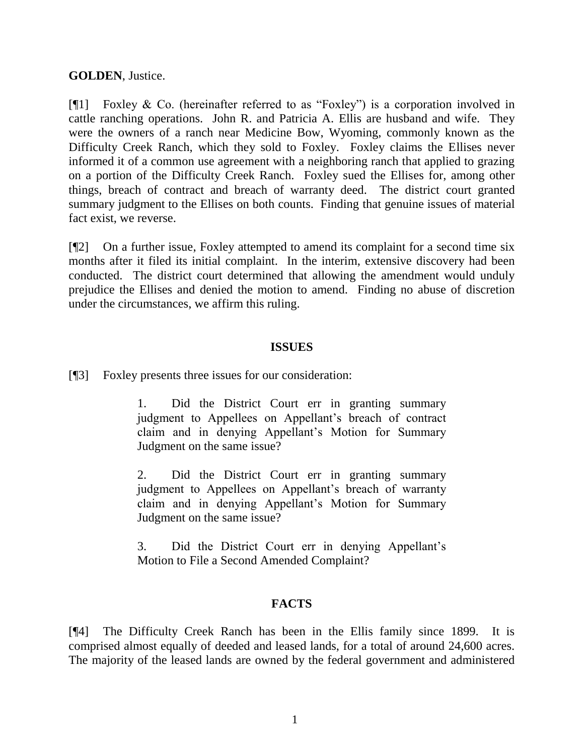### **GOLDEN**, Justice.

[¶1] Foxley & Co. (hereinafter referred to as "Foxley") is a corporation involved in cattle ranching operations. John R. and Patricia A. Ellis are husband and wife. They were the owners of a ranch near Medicine Bow, Wyoming, commonly known as the Difficulty Creek Ranch, which they sold to Foxley. Foxley claims the Ellises never informed it of a common use agreement with a neighboring ranch that applied to grazing on a portion of the Difficulty Creek Ranch. Foxley sued the Ellises for, among other things, breach of contract and breach of warranty deed. The district court granted summary judgment to the Ellises on both counts. Finding that genuine issues of material fact exist, we reverse.

[¶2] On a further issue, Foxley attempted to amend its complaint for a second time six months after it filed its initial complaint. In the interim, extensive discovery had been conducted. The district court determined that allowing the amendment would unduly prejudice the Ellises and denied the motion to amend. Finding no abuse of discretion under the circumstances, we affirm this ruling.

#### **ISSUES**

[¶3] Foxley presents three issues for our consideration:

1. Did the District Court err in granting summary judgment to Appellees on Appellant's breach of contract claim and in denying Appellant's Motion for Summary Judgment on the same issue?

2. Did the District Court err in granting summary judgment to Appellees on Appellant"s breach of warranty claim and in denying Appellant"s Motion for Summary Judgment on the same issue?

3. Did the District Court err in denying Appellant"s Motion to File a Second Amended Complaint?

# **FACTS**

[¶4] The Difficulty Creek Ranch has been in the Ellis family since 1899. It is comprised almost equally of deeded and leased lands, for a total of around 24,600 acres. The majority of the leased lands are owned by the federal government and administered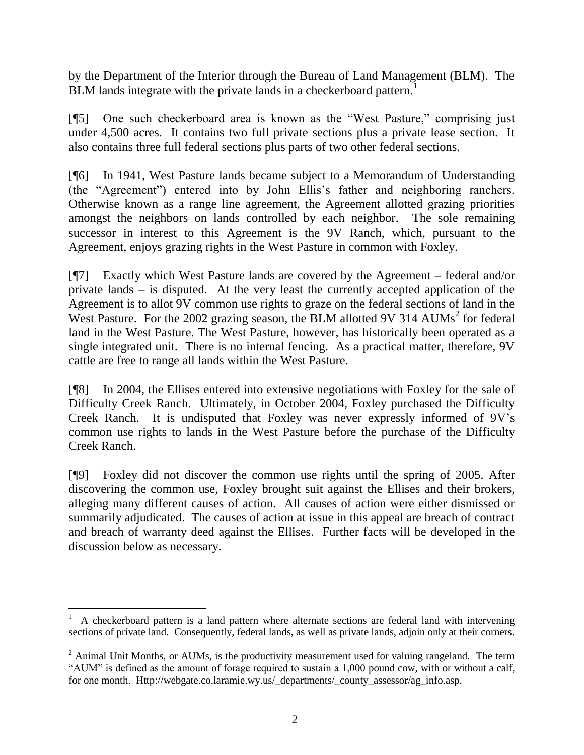by the Department of the Interior through the Bureau of Land Management (BLM). The BLM lands integrate with the private lands in a checkerboard pattern.<sup>1</sup>

[¶5] One such checkerboard area is known as the "West Pasture," comprising just under 4,500 acres. It contains two full private sections plus a private lease section. It also contains three full federal sections plus parts of two other federal sections.

[¶6] In 1941, West Pasture lands became subject to a Memorandum of Understanding (the "Agreement") entered into by John Ellis"s father and neighboring ranchers. Otherwise known as a range line agreement, the Agreement allotted grazing priorities amongst the neighbors on lands controlled by each neighbor. The sole remaining successor in interest to this Agreement is the 9V Ranch, which, pursuant to the Agreement, enjoys grazing rights in the West Pasture in common with Foxley.

[¶7] Exactly which West Pasture lands are covered by the Agreement – federal and/or private lands – is disputed. At the very least the currently accepted application of the Agreement is to allot 9V common use rights to graze on the federal sections of land in the West Pasture. For the 2002 grazing season, the BLM allotted 9V 314 AUMs<sup>2</sup> for federal land in the West Pasture. The West Pasture, however, has historically been operated as a single integrated unit. There is no internal fencing. As a practical matter, therefore, 9V cattle are free to range all lands within the West Pasture.

[¶8] In 2004, the Ellises entered into extensive negotiations with Foxley for the sale of Difficulty Creek Ranch. Ultimately, in October 2004, Foxley purchased the Difficulty Creek Ranch. It is undisputed that Foxley was never expressly informed of 9V"s common use rights to lands in the West Pasture before the purchase of the Difficulty Creek Ranch.

[¶9] Foxley did not discover the common use rights until the spring of 2005. After discovering the common use, Foxley brought suit against the Ellises and their brokers, alleging many different causes of action. All causes of action were either dismissed or summarily adjudicated. The causes of action at issue in this appeal are breach of contract and breach of warranty deed against the Ellises. Further facts will be developed in the discussion below as necessary.

 $\overline{a}$ 

<sup>1</sup> A checkerboard pattern is a land pattern where alternate sections are federal land with intervening sections of private land. Consequently, federal lands, as well as private lands, adjoin only at their corners.

 $2$  Animal Unit Months, or AUMs, is the productivity measurement used for valuing rangeland. The term "AUM" is defined as the amount of forage required to sustain a 1,000 pound cow, with or without a calf, for one month. Http://webgate.co.laramie.wy.us/\_departments/\_county\_assessor/ag\_info.asp.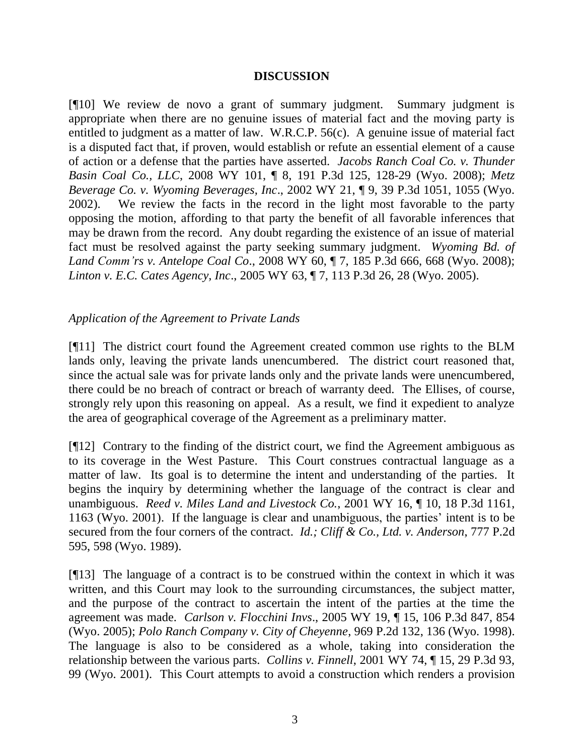### **DISCUSSION**

[¶10] We review de novo a grant of summary judgment. Summary judgment is appropriate when there are no genuine issues of material fact and the moving party is entitled to judgment as a matter of law. W.R.C.P. 56(c). A genuine issue of material fact is a disputed fact that, if proven, would establish or refute an essential element of a cause of action or a defense that the parties have asserted. *Jacobs Ranch Coal Co. v. Thunder Basin Coal Co., LLC*, 2008 WY 101, ¶ 8, 191 P.3d 125, 128-29 (Wyo. 2008); *Metz Beverage Co. v. Wyoming Beverages, Inc*., 2002 WY 21, ¶ 9, 39 P.3d 1051, 1055 (Wyo. 2002). We review the facts in the record in the light most favorable to the party opposing the motion, affording to that party the benefit of all favorable inferences that may be drawn from the record. Any doubt regarding the existence of an issue of material fact must be resolved against the party seeking summary judgment. *Wyoming Bd. of Land Comm'rs v. Antelope Coal Co*., 2008 WY 60, ¶ 7, 185 P.3d 666, 668 (Wyo. 2008); *Linton v. E.C. Cates Agency, Inc*., 2005 WY 63, ¶ 7, 113 P.3d 26, 28 (Wyo. 2005).

# *Application of the Agreement to Private Lands*

[¶11] The district court found the Agreement created common use rights to the BLM lands only, leaving the private lands unencumbered. The district court reasoned that, since the actual sale was for private lands only and the private lands were unencumbered, there could be no breach of contract or breach of warranty deed. The Ellises, of course, strongly rely upon this reasoning on appeal. As a result, we find it expedient to analyze the area of geographical coverage of the Agreement as a preliminary matter.

[¶12] Contrary to the finding of the district court, we find the Agreement ambiguous as to its coverage in the West Pasture. This Court construes contractual language as a matter of law. Its goal is to determine the intent and understanding of the parties. It begins the inquiry by determining whether the language of the contract is clear and unambiguous. *Reed v. Miles Land and Livestock Co.*, 2001 WY 16, ¶ 10, 18 P.3d 1161, 1163 (Wyo. 2001). If the language is clear and unambiguous, the parties' intent is to be secured from the four corners of the contract. *Id.; Cliff & Co., Ltd. v. Anderson*, 777 P.2d 595, 598 (Wyo. 1989).

[¶13] The language of a contract is to be construed within the context in which it was written, and this Court may look to the surrounding circumstances, the subject matter, and the purpose of the contract to ascertain the intent of the parties at the time the agreement was made. *Carlson v. Flocchini Invs*., 2005 WY 19, ¶ 15, 106 P.3d 847, 854 (Wyo. 2005); *Polo Ranch Company v. City of Cheyenne*, 969 P.2d 132, 136 (Wyo. 1998). The language is also to be considered as a whole, taking into consideration the relationship between the various parts. *Collins v. Finnell*, 2001 WY 74, ¶ 15, 29 P.3d 93, 99 (Wyo. 2001). This Court attempts to avoid a construction which renders a provision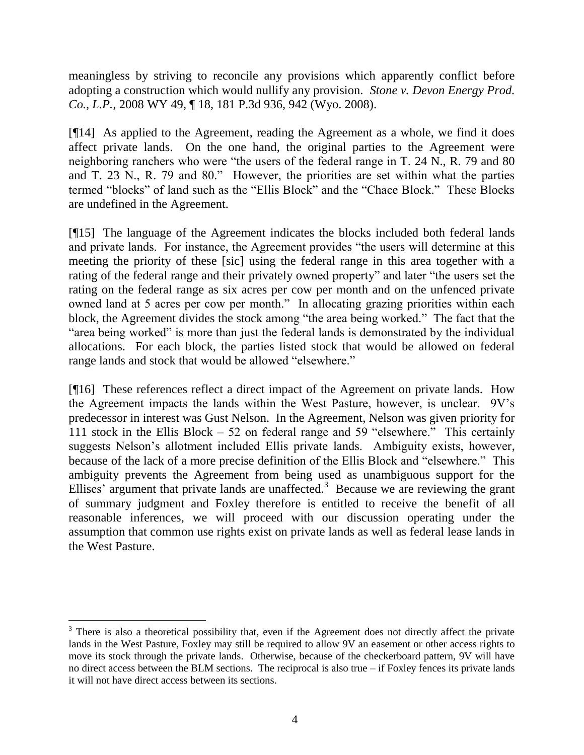meaningless by striving to reconcile any provisions which apparently conflict before adopting a construction which would nullify any provision. *Stone v. Devon Energy Prod. Co., L.P.,* 2008 WY 49, ¶ 18, 181 P.3d 936, 942 (Wyo. 2008).

[¶14] As applied to the Agreement, reading the Agreement as a whole, we find it does affect private lands. On the one hand, the original parties to the Agreement were neighboring ranchers who were "the users of the federal range in T. 24 N., R. 79 and 80 and T. 23 N., R. 79 and 80." However, the priorities are set within what the parties termed "blocks" of land such as the "Ellis Block" and the "Chace Block." These Blocks are undefined in the Agreement.

[¶15] The language of the Agreement indicates the blocks included both federal lands and private lands. For instance, the Agreement provides "the users will determine at this meeting the priority of these [sic] using the federal range in this area together with a rating of the federal range and their privately owned property" and later "the users set the rating on the federal range as six acres per cow per month and on the unfenced private owned land at 5 acres per cow per month." In allocating grazing priorities within each block, the Agreement divides the stock among "the area being worked." The fact that the "area being worked" is more than just the federal lands is demonstrated by the individual allocations. For each block, the parties listed stock that would be allowed on federal range lands and stock that would be allowed "elsewhere."

[¶16] These references reflect a direct impact of the Agreement on private lands. How the Agreement impacts the lands within the West Pasture, however, is unclear. 9V"s predecessor in interest was Gust Nelson. In the Agreement, Nelson was given priority for 111 stock in the Ellis Block – 52 on federal range and 59 "elsewhere." This certainly suggests Nelson"s allotment included Ellis private lands. Ambiguity exists, however, because of the lack of a more precise definition of the Ellis Block and "elsewhere." This ambiguity prevents the Agreement from being used as unambiguous support for the Ellises' argument that private lands are unaffected.<sup>3</sup> Because we are reviewing the grant of summary judgment and Foxley therefore is entitled to receive the benefit of all reasonable inferences, we will proceed with our discussion operating under the assumption that common use rights exist on private lands as well as federal lease lands in the West Pasture.

<sup>&</sup>lt;sup>3</sup> There is also a theoretical possibility that, even if the Agreement does not directly affect the private lands in the West Pasture, Foxley may still be required to allow 9V an easement or other access rights to move its stock through the private lands. Otherwise, because of the checkerboard pattern, 9V will have no direct access between the BLM sections. The reciprocal is also true – if Foxley fences its private lands it will not have direct access between its sections.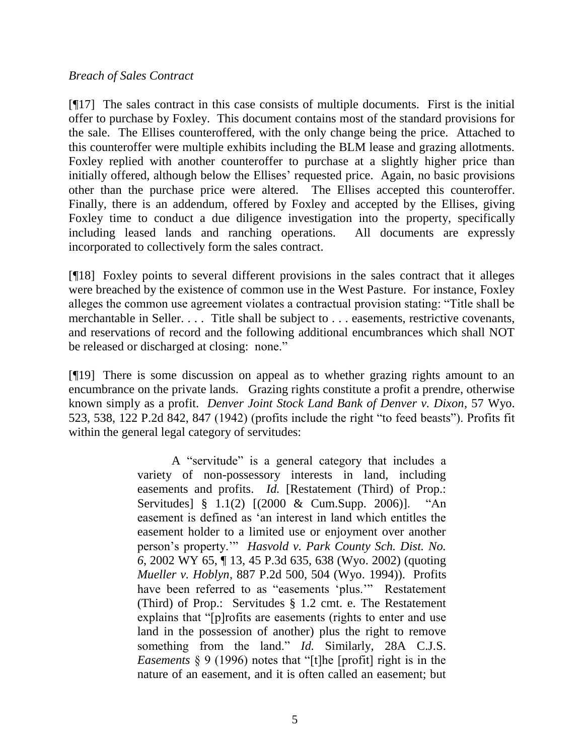#### *Breach of Sales Contract*

[¶17] The sales contract in this case consists of multiple documents. First is the initial offer to purchase by Foxley. This document contains most of the standard provisions for the sale. The Ellises counteroffered, with the only change being the price. Attached to this counteroffer were multiple exhibits including the BLM lease and grazing allotments. Foxley replied with another counteroffer to purchase at a slightly higher price than initially offered, although below the Ellises' requested price. Again, no basic provisions other than the purchase price were altered. The Ellises accepted this counteroffer. Finally, there is an addendum, offered by Foxley and accepted by the Ellises, giving Foxley time to conduct a due diligence investigation into the property, specifically including leased lands and ranching operations. All documents are expressly incorporated to collectively form the sales contract.

[¶18] Foxley points to several different provisions in the sales contract that it alleges were breached by the existence of common use in the West Pasture. For instance, Foxley alleges the common use agreement violates a contractual provision stating: "Title shall be merchantable in Seller. . . . Title shall be subject to . . . easements, restrictive covenants, and reservations of record and the following additional encumbrances which shall NOT be released or discharged at closing: none."

[¶19] There is some discussion on appeal as to whether grazing rights amount to an encumbrance on the private lands. Grazing rights constitute a profit a prendre, otherwise known simply as a profit. *Denver Joint Stock Land Bank of Denver v. Dixon*, 57 Wyo. 523, 538, 122 P.2d 842, 847 (1942) (profits include the right "to feed beasts"). Profits fit within the general legal category of servitudes:

> A "servitude" is a general category that includes a variety of non-possessory interests in land, including easements and profits. *Id.* [Restatement (Third) of Prop.: Servitudes] § 1.1(2) [(2000 & Cum.Supp. 2006)]. "An easement is defined as "an interest in land which entitles the easement holder to a limited use or enjoyment over another person"s property."" *Hasvold v. Park County Sch. Dist. No. 6*, 2002 WY 65, ¶ 13, 45 P.3d 635, 638 (Wyo. 2002) (quoting *Mueller v. Hoblyn*, 887 P.2d 500, 504 (Wyo. 1994)). Profits have been referred to as "easements 'plus."" Restatement (Third) of Prop.: Servitudes § 1.2 cmt. e. The Restatement explains that "[p]rofits are easements (rights to enter and use land in the possession of another) plus the right to remove something from the land." *Id.* Similarly, 28A C.J.S. *Easements* § 9 (1996) notes that "[t]he [profit] right is in the nature of an easement, and it is often called an easement; but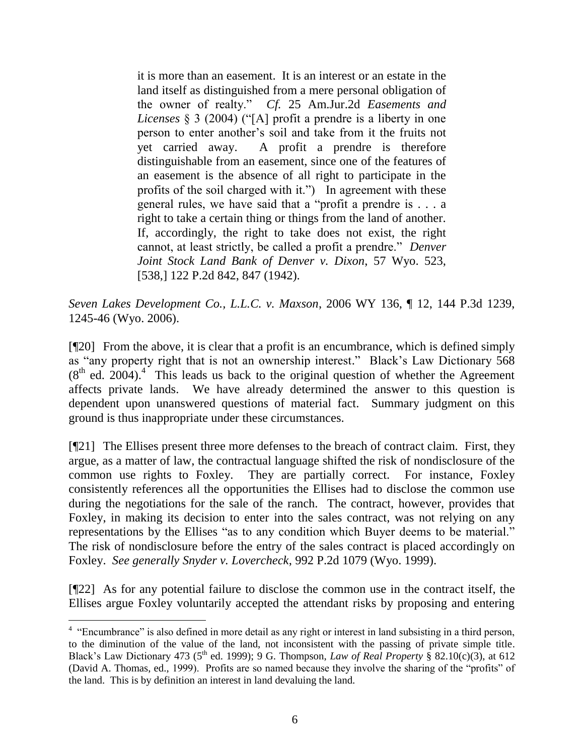it is more than an easement. It is an interest or an estate in the land itself as distinguished from a mere personal obligation of the owner of realty." *Cf.* 25 Am.Jur.2d *Easements and Licenses* § 3 (2004) ("[A] profit a prendre is a liberty in one person to enter another"s soil and take from it the fruits not yet carried away. A profit a prendre is therefore distinguishable from an easement, since one of the features of an easement is the absence of all right to participate in the profits of the soil charged with it.") In agreement with these general rules, we have said that a "profit a prendre is . . . a right to take a certain thing or things from the land of another. If, accordingly, the right to take does not exist, the right cannot, at least strictly, be called a profit a prendre." *Denver Joint Stock Land Bank of Denver v. Dixon*, 57 Wyo. 523, [538,] 122 P.2d 842, 847 (1942).

*Seven Lakes Development Co., L.L.C. v. Maxson*, 2006 WY 136, ¶ 12, 144 P.3d 1239, 1245-46 (Wyo. 2006).

[¶20] From the above, it is clear that a profit is an encumbrance, which is defined simply as "any property right that is not an ownership interest." Black"s Law Dictionary 568  $(8<sup>th</sup>$  ed. 2004).<sup>4</sup> This leads us back to the original question of whether the Agreement affects private lands. We have already determined the answer to this question is dependent upon unanswered questions of material fact. Summary judgment on this ground is thus inappropriate under these circumstances.

[¶21] The Ellises present three more defenses to the breach of contract claim. First, they argue, as a matter of law, the contractual language shifted the risk of nondisclosure of the common use rights to Foxley. They are partially correct. For instance, Foxley consistently references all the opportunities the Ellises had to disclose the common use during the negotiations for the sale of the ranch. The contract, however, provides that Foxley, in making its decision to enter into the sales contract, was not relying on any representations by the Ellises "as to any condition which Buyer deems to be material." The risk of nondisclosure before the entry of the sales contract is placed accordingly on Foxley. *See generally Snyder v. Lovercheck*, 992 P.2d 1079 (Wyo. 1999).

[¶22] As for any potential failure to disclose the common use in the contract itself, the Ellises argue Foxley voluntarily accepted the attendant risks by proposing and entering

<sup>&</sup>lt;sup>4</sup> "Encumbrance" is also defined in more detail as any right or interest in land subsisting in a third person, to the diminution of the value of the land, not inconsistent with the passing of private simple title. Black's Law Dictionary 473 ( $5^{th}$  ed. 1999); 9 G. Thompson, *Law of Real Property* § 82.10(c)(3), at 612 (David A. Thomas, ed., 1999). Profits are so named because they involve the sharing of the "profits" of the land. This is by definition an interest in land devaluing the land.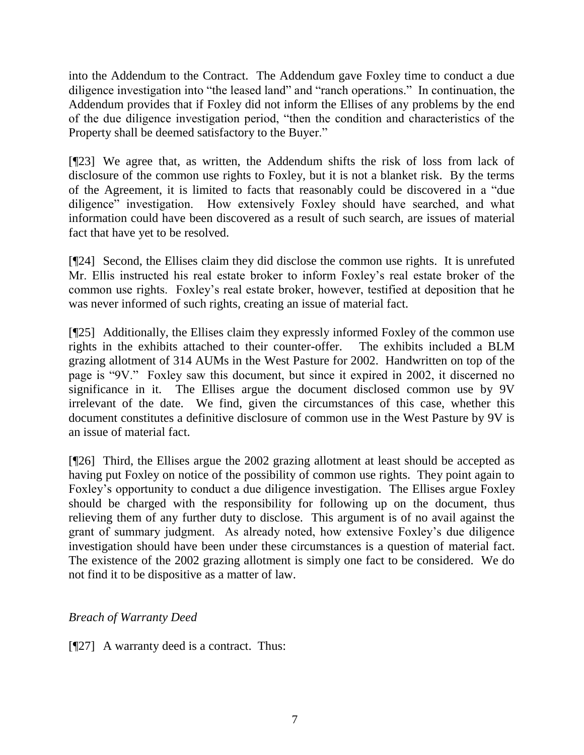into the Addendum to the Contract. The Addendum gave Foxley time to conduct a due diligence investigation into "the leased land" and "ranch operations." In continuation, the Addendum provides that if Foxley did not inform the Ellises of any problems by the end of the due diligence investigation period, "then the condition and characteristics of the Property shall be deemed satisfactory to the Buyer."

[¶23] We agree that, as written, the Addendum shifts the risk of loss from lack of disclosure of the common use rights to Foxley, but it is not a blanket risk. By the terms of the Agreement, it is limited to facts that reasonably could be discovered in a "due diligence" investigation. How extensively Foxley should have searched, and what information could have been discovered as a result of such search, are issues of material fact that have yet to be resolved.

[¶24] Second, the Ellises claim they did disclose the common use rights. It is unrefuted Mr. Ellis instructed his real estate broker to inform Foxley"s real estate broker of the common use rights. Foxley"s real estate broker, however, testified at deposition that he was never informed of such rights, creating an issue of material fact.

[¶25] Additionally, the Ellises claim they expressly informed Foxley of the common use rights in the exhibits attached to their counter-offer. The exhibits included a BLM grazing allotment of 314 AUMs in the West Pasture for 2002. Handwritten on top of the page is "9V." Foxley saw this document, but since it expired in 2002, it discerned no significance in it. The Ellises argue the document disclosed common use by 9V irrelevant of the date. We find, given the circumstances of this case, whether this document constitutes a definitive disclosure of common use in the West Pasture by 9V is an issue of material fact.

[¶26] Third, the Ellises argue the 2002 grazing allotment at least should be accepted as having put Foxley on notice of the possibility of common use rights. They point again to Foxley"s opportunity to conduct a due diligence investigation. The Ellises argue Foxley should be charged with the responsibility for following up on the document, thus relieving them of any further duty to disclose. This argument is of no avail against the grant of summary judgment. As already noted, how extensive Foxley"s due diligence investigation should have been under these circumstances is a question of material fact. The existence of the 2002 grazing allotment is simply one fact to be considered. We do not find it to be dispositive as a matter of law.

# *Breach of Warranty Deed*

[¶27] A warranty deed is a contract. Thus: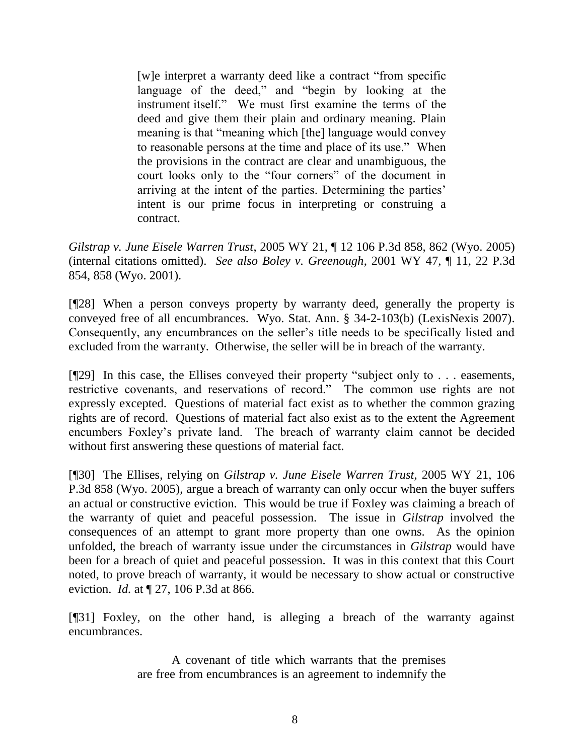[w]e interpret a warranty deed like a contract "from specific language of the deed," and "begin by looking at the instrument itself." We must first examine the terms of the deed and give them their plain and ordinary meaning. Plain meaning is that "meaning which [the] language would convey to reasonable persons at the time and place of its use." When the provisions in the contract are clear and unambiguous, the court looks only to the "four corners" of the document in arriving at the intent of the parties. Determining the parties" intent is our prime focus in interpreting or construing a contract.

*Gilstrap v. June Eisele Warren Trust*, 2005 WY 21, ¶ 12 106 P.3d 858, 862 (Wyo. 2005) (internal citations omitted). *See also Boley v. Greenough*, 2001 WY 47, ¶ 11, 22 P.3d 854, 858 (Wyo. 2001).

[¶28] When a person conveys property by warranty deed, generally the property is conveyed free of all encumbrances. Wyo. Stat. Ann. § 34-2-103(b) (LexisNexis 2007). Consequently, any encumbrances on the seller"s title needs to be specifically listed and excluded from the warranty. Otherwise, the seller will be in breach of the warranty.

[¶29] In this case, the Ellises conveyed their property "subject only to . . . easements, restrictive covenants, and reservations of record." The common use rights are not expressly excepted. Questions of material fact exist as to whether the common grazing rights are of record. Questions of material fact also exist as to the extent the Agreement encumbers Foxley"s private land. The breach of warranty claim cannot be decided without first answering these questions of material fact.

[¶30] The Ellises, relying on *Gilstrap v. June Eisele Warren Trust*, 2005 WY 21, 106 P.3d 858 (Wyo. 2005), argue a breach of warranty can only occur when the buyer suffers an actual or constructive eviction. This would be true if Foxley was claiming a breach of the warranty of quiet and peaceful possession. The issue in *Gilstrap* involved the consequences of an attempt to grant more property than one owns. As the opinion unfolded, the breach of warranty issue under the circumstances in *Gilstrap* would have been for a breach of quiet and peaceful possession. It was in this context that this Court noted, to prove breach of warranty, it would be necessary to show actual or constructive eviction. *Id.* at ¶ 27, 106 P.3d at 866.

[¶31] Foxley, on the other hand, is alleging a breach of the warranty against encumbrances.

> A covenant of title which warrants that the premises are free from encumbrances is an agreement to indemnify the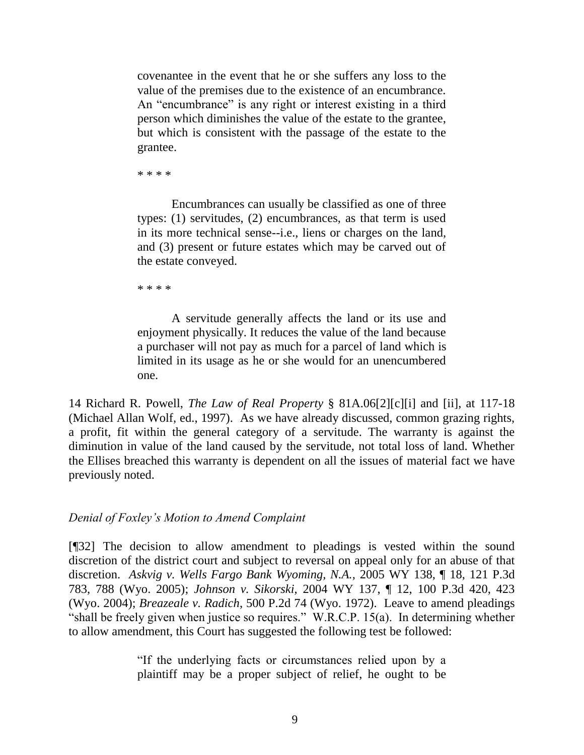covenantee in the event that he or she suffers any loss to the value of the premises due to the existence of an encumbrance. An "encumbrance" is any right or interest existing in a third person which diminishes the value of the estate to the grantee, but which is consistent with the passage of the estate to the grantee.

\* \* \* \*

Encumbrances can usually be classified as one of three types: (1) servitudes, (2) encumbrances, as that term is used in its more technical sense--i.e., liens or charges on the land, and (3) present or future estates which may be carved out of the estate conveyed.

\* \* \* \*

A servitude generally affects the land or its use and enjoyment physically. It reduces the value of the land because a purchaser will not pay as much for a parcel of land which is limited in its usage as he or she would for an unencumbered one.

14 Richard R. Powell, *The Law of Real Property* § 81A.06[2][c][i] and [ii], at 117-18 (Michael Allan Wolf, ed., 1997). As we have already discussed, common grazing rights, a profit, fit within the general category of a servitude. The warranty is against the diminution in value of the land caused by the servitude, not total loss of land. Whether the Ellises breached this warranty is dependent on all the issues of material fact we have previously noted.

### *Denial of Foxley's Motion to Amend Complaint*

[¶32] The decision to allow amendment to pleadings is vested within the sound discretion of the district court and subject to reversal on appeal only for an abuse of that discretion. *Askvig v. Wells Fargo Bank Wyoming, N.A.,* 2005 WY 138, ¶ 18, 121 P.3d 783, 788 (Wyo. 2005); *Johnson v. Sikorski*, 2004 WY 137, ¶ 12, 100 P.3d 420, 423 (Wyo. 2004); *Breazeale v. Radich*, 500 P.2d 74 (Wyo. 1972). Leave to amend pleadings "shall be freely given when justice so requires." W.R.C.P. 15(a). In determining whether to allow amendment, this Court has suggested the following test be followed:

> "If the underlying facts or circumstances relied upon by a plaintiff may be a proper subject of relief, he ought to be